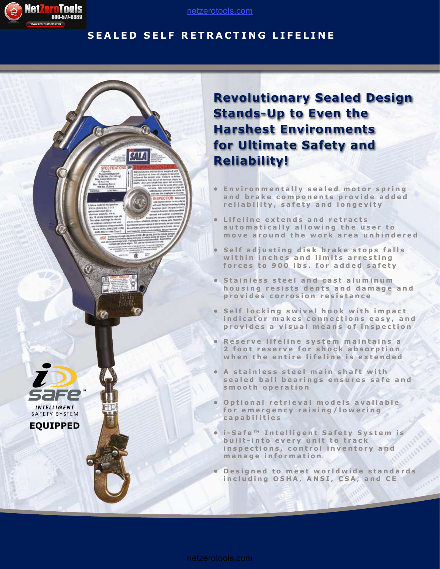

**EQUIPPED**

INTELLIGENT SAFETY SYSTEM

### [netzerotools.com](http://www.netzerotools.com)

### **SEALED SELF RETRACTING LIFELINE**

# **Revolutionary Sealed Design Stands-Up to Even the Harshest Environments for Ultimate Safety and Reliability!**

- **Environmentally sealed motor spring** and brake components provide added reliability, safety and longevity
- **Lifeline extends and retracts** automatically allowing the user to move around the work area unhindered
- **Self adjusting disk brake stops falls** within inches and limits arresting **f o r c e s t o 9 0 0 l b s . f o r a d d e d s a f e t y**
- **Stainless steel and cast aluminum** housing resists dents and damage and provides corrosion resistance
- **Self locking swivel hook with impact** indicator makes connections easy, and provides a visual means of inspection
- **Reserve lifeline system maintains a 2 foot reserve for shock absorption** when the entire lifeline is extended
- **A stainless steel main shaft with** sealed ball bearings ensures safe and **s m o o t h o p e r a t i o n**
- **Optional retrieval models available** for emergency raising/lowering **c a p a b i l i t i e s**
- **i-Safe™ Intelligent Safety System is built-into every unit to track** inspections, control inventory and **m a n a g e i n f o r m a t i o n**
- **Designed to meet worldwide standards** including OSHA, ANSI, CSA, and CE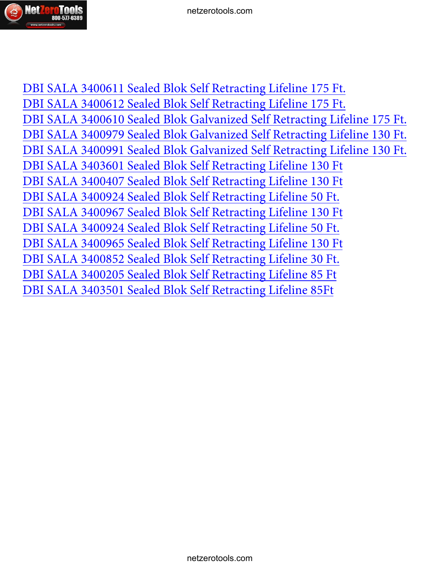

[DBI SALA 3400611 Sealed Blok Self Retracting Lifeline 175 Ft.](http://www.netzerotools.com/dbi-sala-3400611-sealed-blok-self-retracting-lifeline) [DBI SALA 3400612 Sealed Blok Self Retracting Lifeline 175 Ft.](http://www.netzerotools.com/dbi-sala-3400612-sealed-blok-self-retracting-lifeline) [DBI SALA 3400610 Sealed Blok Galvanized Self Retracting Lifeline 175 Ft.](http://www.netzerotools.com/dbi-sala-3400610-sealed-blok-self-retracting-lifeline) [DBI SALA 3400979 Sealed Blok Galvanized Self Retracting Lifeline 130 Ft.](http://www.netzerotools.com/dbi-sala-3400979-sealed-blok-self-retracting-lifeline) [DBI SALA 3400991 Sealed Blok Galvanized Self Retracting Lifeline 130 Ft.](http://www.netzerotools.com/dbi-sala-3400991-sealed-blok-self-retracting-lifeline) [DBI SALA 3403601 Sealed Blok Self Retracting Lifeline 130 Ft](http://www.netzerotools.com/dbi-sala-3403601-self-retracting-lifeline-130-ft) [DBI SALA 3400407 Sealed Blok Self Retracting Lifeline 130 Ft](http://www.netzerotools.com/dbi-sala-3400407-self-retracting-lifeline-130-ft) [DBI SALA 3400924 Sealed Blok Self Retracting Lifeline 50 Ft.](http://www.netzerotools.com/dbi-sala-3400924-self-retracting-lifeline-50-ft)  [DBI SALA 3400967 Sealed Blok Self Retracting Lifeline 130 Ft](http://www.netzerotools.com/dbi-sala-3400967-sealed-blok-self-retracting-lifeline-130ft)  [DBI SALA 3400924 Sealed Blok Self Retracting Lifeline 50 Ft.](http://www.netzerotools.com/dbi-sala-3400923-self-retracting-lifeline-50-ft)  [DBI SALA 3400965 Sealed Blok Self Retracting Lifeline 130 Ft](http://www.netzerotools.com/dbi-sala-3400965-sealed-blok-self-retracting-lifeline-130ft)  [DBI SALA 3400852 Sealed Blok Self Retracting Lifeline 30 Ft.](http://www.netzerotools.com/dbi-sala-3400852-self-retracting-lifeline-30-ft)  [DBI SALA 3400205 Sealed Blok Self Retracting Lifeline 85 Ft](http://www.netzerotools.com/dbi-sala-3400205-self-retracting-lifeline-85-ft) [DBI SALA 3403501 Sealed Blok Self Retracting Lifeline 85Ft](http://www.netzerotools.com/dbi-sala-3403501-self-retracting-lifeline-85-ft)